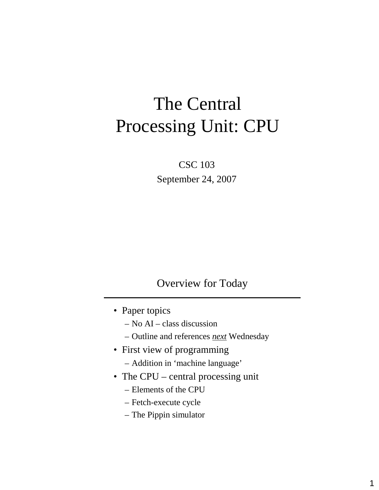# The Central Processing Unit: CPU

CSC 103 September 24, 2007

#### Overview for Today

- Paper topics
	- No AI class discussion
	- Outline and references *next* Wednesday
- First view of programming
	- Addition in 'machine language'
- The CPU central processing unit
	- Elements of the CPU
	- Fetch-execute cycle
	- The Pippin simulator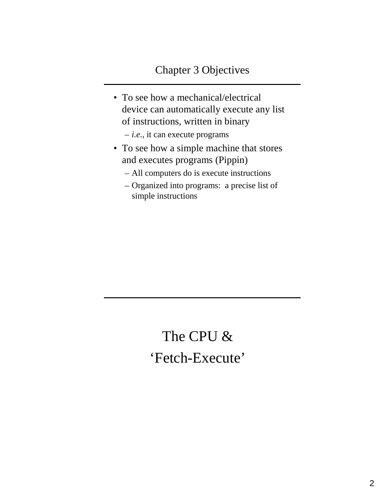- To see how a mechanical/electrical device can automatically execute any list of instructions, written in binary
	- *i.e.*, it can execute programs
- To see how a simple machine that stores and executes programs (Pippin)
	- All computers do is execute instructions
	- Organized into programs: a precise list of simple instructions

## The CPU & 'Fetch-Execute'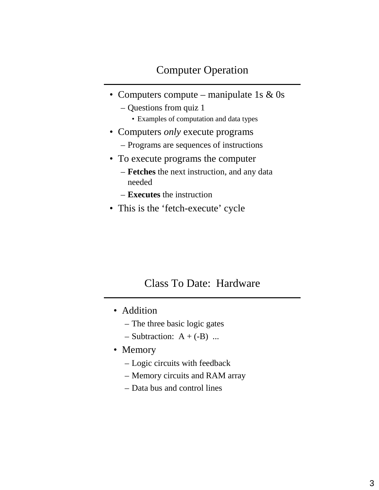- Computers compute manipulate 1s  $& 0$ s
	- Questions from quiz 1
		- Examples of computation and data types
- Computers *only* execute programs
	- Programs are sequences of instructions
- To execute programs the computer
	- **Fetches** the next instruction, and any data needed
	- **Executes** the instruction
- This is the 'fetch-execute' cycle

#### Class To Date: Hardware

- Addition
	- The three basic logic gates
	- $-$  Subtraction: A + (-B) ...
- Memory
	- Logic circuits with feedback
	- Memory circuits and RAM array
	- Data bus and control lines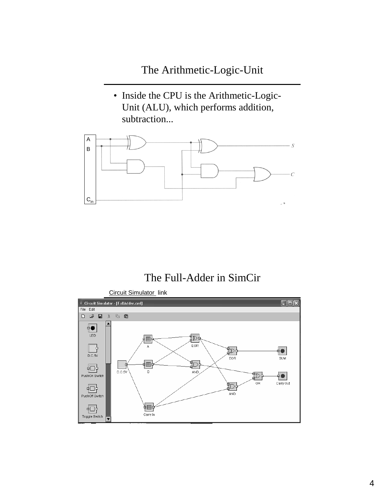- The Arithmetic-Logic-Unit
- Inside the CPU is the Arithmetic-Logic-Unit (ALU), which performs addition, subtraction...



#### The Full-Adder in SimCir

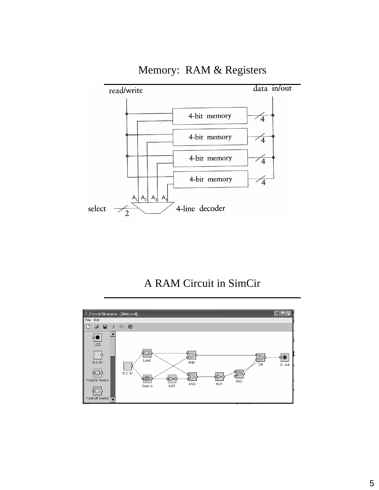

Memory: RAM & Registers

### A RAM Circuit in SimCir

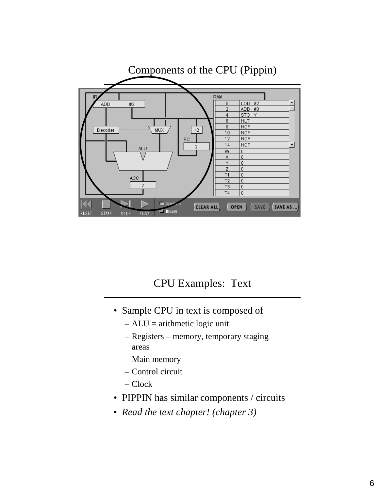

### CPU Examples: Text

- Sample CPU in text is composed of
	- $-ALU =$  arithmetic logic unit
	- Registers memory, temporary staging areas
	- Main memory
	- Control circuit
	- Clock
- PIPPIN has similar components / circuits
- *Read the text chapter! (chapter 3)*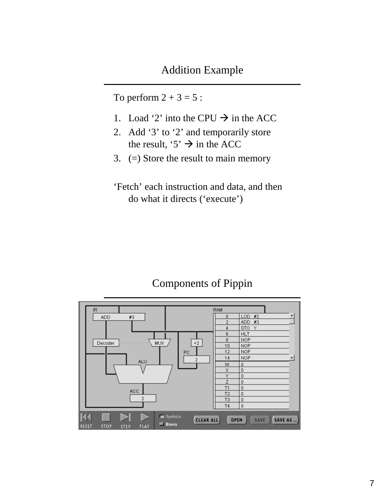To perform  $2 + 3 = 5$ :

- 1. Load '2' into the CPU  $\rightarrow$  in the ACC
- 2. Add '3' to '2' and temporarily store the result, '5'  $\rightarrow$  in the ACC
- 3. (=) Store the result to main memory
- 'Fetch' each instruction and data, and then do what it directs ('execute')

#### Components of Pippin

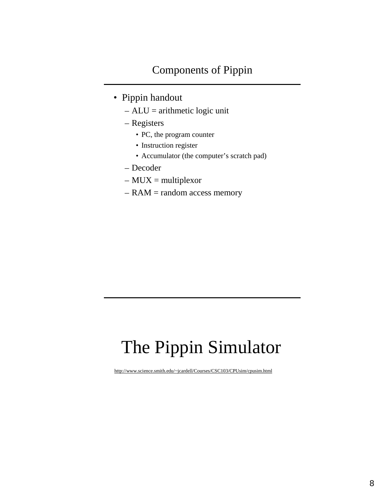- Pippin handout
	- $-ALU =$  arithmetic logic unit
	- Registers
		- PC, the program counter
		- Instruction register
		- Accumulator (the computer's scratch pad)
	- Decoder
	- $-$  MUX = multiplexor
	- $-$  RAM = random access memory

# The Pippin Simulator

http://www.science.smith.edu/~jcardell/Courses/CSC103/CPUsim/cpusim.html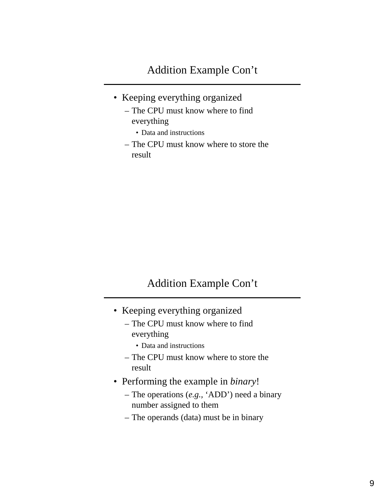- Keeping everything organized
	- The CPU must know where to find everything
		- Data and instructions
	- The CPU must know where to store the result

### Addition Example Con't

- Keeping everything organized
	- The CPU must know where to find everything
		- Data and instructions
	- The CPU must know where to store the result
- Performing the example in *binary*!
	- The operations (*e.g.,* 'ADD') need a binary number assigned to them
	- The operands (data) must be in binary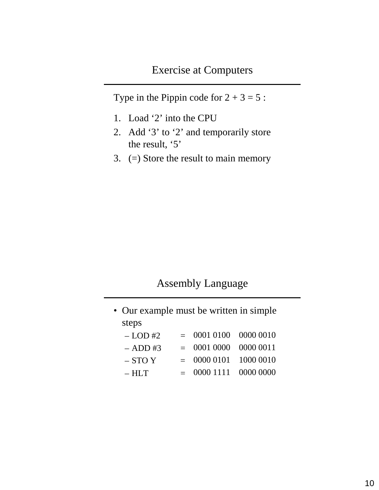Type in the Pippin code for  $2 + 3 = 5$ :

- 1. Load '2' into the CPU
- 2. Add '3' to '2' and temporarily store the result, '5'
- 3. (=) Store the result to main memory

#### Assembly Language

| • Our example must be written in simple |  |                         |  |
|-----------------------------------------|--|-------------------------|--|
| steps                                   |  |                         |  |
| $-LOD#2$                                |  | $= 0001 0100 0000 0010$ |  |
| $-$ ADD #3                              |  | $= 0001 0000 0000 0011$ |  |
| $-$ STO Y                               |  | $= 00000101 10000010$   |  |
| $- HLT$                                 |  | 0000 1111 0000 0000     |  |